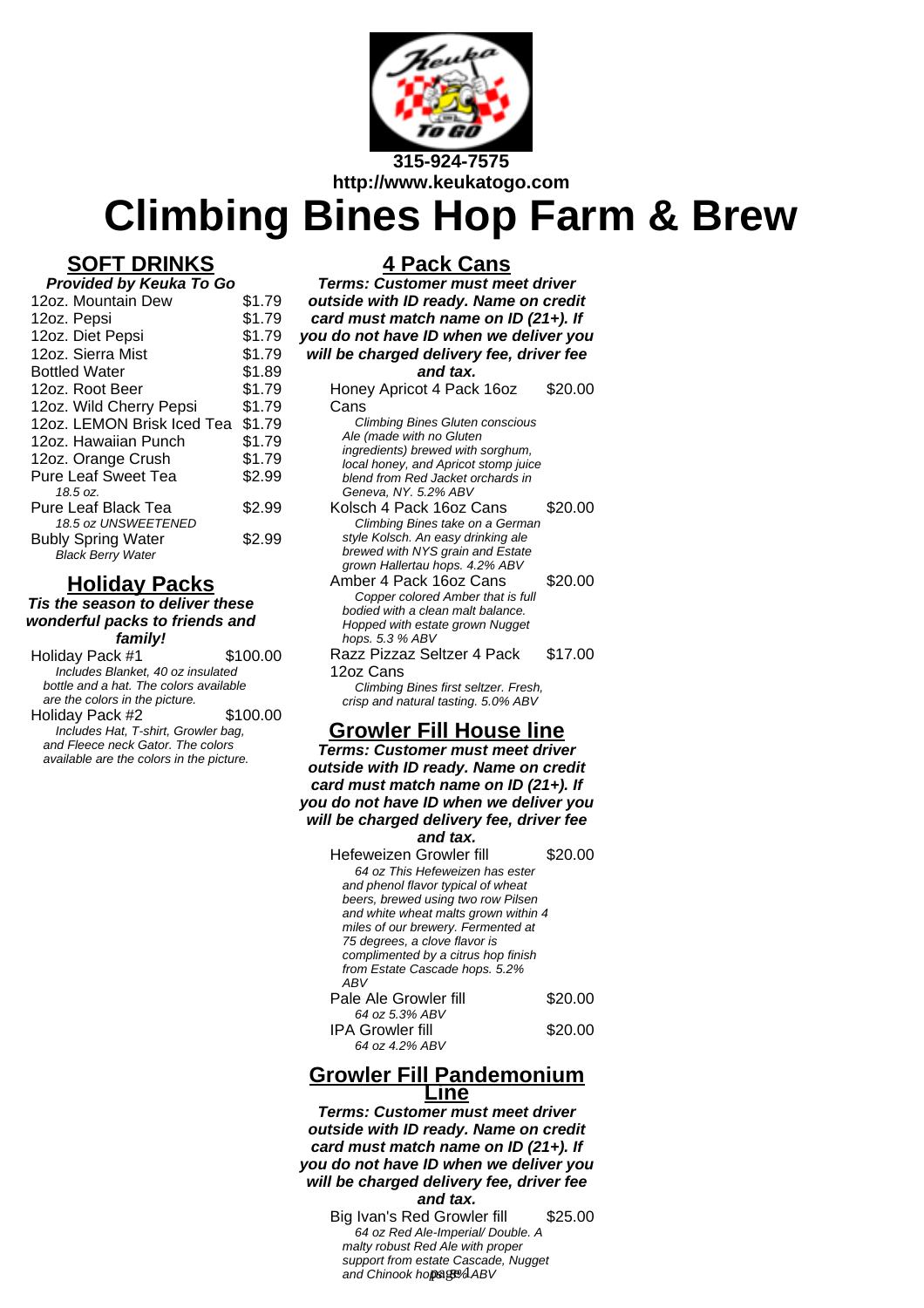

# **Climbing Bines Hop Farm & Brew**

# **SOFT DRINKS**

| Provided by Keuka To Go    |        |  |
|----------------------------|--------|--|
| 12oz. Mountain Dew         | \$1.79 |  |
| 12oz. Pepsi                | \$1.79 |  |
| 12oz. Diet Pepsi           | \$1.79 |  |
| 12oz. Sierra Mist          | \$1.79 |  |
| <b>Bottled Water</b>       | \$1.89 |  |
| 12oz. Root Beer            | \$1.79 |  |
| 12oz. Wild Cherry Pepsi    | \$1.79 |  |
| 12oz. LEMON Brisk Iced Tea | \$1.79 |  |
| 12oz. Hawaiian Punch       | \$1.79 |  |
| 12oz. Orange Crush         | \$1.79 |  |
| <b>Pure Leaf Sweet Tea</b> | \$2.99 |  |
| 18.5 oz.                   |        |  |
| <b>Pure Leaf Black Tea</b> | \$2.99 |  |
| 18.5 oz UNSWEETENED        |        |  |
| <b>Bubly Spring Water</b>  | \$2.99 |  |
| <b>Black Berry Water</b>   |        |  |

### **Holiday Packs**

**Tis the season to deliver these wonderful packs to friends and family!**

| Holiday Pack #1                        | \$100.00 |  |
|----------------------------------------|----------|--|
| Includes Blanket, 40 oz insulated      |          |  |
| bottle and a hat. The colors available |          |  |
| are the colors in the picture.         |          |  |
| Holiday Pack #2                        | \$100.00 |  |
| Includes Hat. T-shirt. Growler bag.    |          |  |

and Fleece neck Gator. The colors available are the colors in the picture.

## **4 Pack Cans**

| о                                        |         |  |
|------------------------------------------|---------|--|
| <b>Terms: Customer must meet driver</b>  |         |  |
| outside with ID ready. Name on credit    |         |  |
| card must match name on ID (21+). If     |         |  |
|                                          |         |  |
| you do not have ID when we deliver you   |         |  |
| will be charged delivery fee, driver fee |         |  |
| and tax.                                 |         |  |
| Honey Apricot 4 Pack 16oz                | \$20.00 |  |
|                                          |         |  |
| Cans                                     |         |  |
| <b>Climbing Bines Gluten conscious</b>   |         |  |
| Ale (made with no Gluten                 |         |  |
| ingredients) brewed with sorghum,        |         |  |
| local honey, and Apricot stomp juice     |         |  |
| blend from Red Jacket orchards in        |         |  |
| Geneva, NY. 5.2% ABV                     |         |  |
| Kolsch 4 Pack 16oz Cans                  | \$20.00 |  |
| Climbing Bines take on a German          |         |  |
| style Kolsch. An easy drinking ale       |         |  |
| brewed with NYS grain and Estate         |         |  |
| grown Hallertau hops. 4.2% ABV           |         |  |
| Amber 4 Pack 16oz Cans                   | \$20.00 |  |
| Copper colored Amber that is full        |         |  |
| bodied with a clean malt balance.        |         |  |
| Hopped with estate grown Nugget          |         |  |
| hops. 5.3 % ABV                          |         |  |
| Razz Pizzaz Seltzer 4 Pack               | \$17.00 |  |
| 12oz Cans                                |         |  |
| Climbing Bines first seltzer. Fresh,     |         |  |
| crisp and natural tasting. 5.0% ABV      |         |  |
|                                          |         |  |
| <b>Growler Fill House line</b>           |         |  |
| Terms: Customer must meet driver         |         |  |
|                                          |         |  |
| outside with ID ready. Name on credit    |         |  |
| card must match name on ID (21+). If     |         |  |
| you do not have ID when we deliver you   |         |  |
| will be charged delivery fee, driver fee |         |  |
| and tax.                                 |         |  |
|                                          |         |  |
| Hefeweizen Growler fill                  | \$20.00 |  |
| 64 oz This Hefeweizen has ester          |         |  |
| and phenol flavor typical of wheat       |         |  |
| beers, brewed using two row Pilsen       |         |  |
| and white wheat malts grown within 4     |         |  |
| miles of our brewery. Fermented at       |         |  |
| 75 degrees, a clove flavor is            |         |  |
| complimented by a citrus hop finish      |         |  |
| from Estate Cascade hops. 5.2%           |         |  |
| ABV                                      |         |  |
| Pale Ale Growler fill                    | \$20.00 |  |
| 64 oz 5.3% ABV                           |         |  |
| IPA Growler fill                         | \$20.00 |  |
| 64 oz 4.2% ABV                           |         |  |
|                                          |         |  |

#### **Growler Fill Pandemonium Line**

**Terms: Customer must meet driver outside with ID ready. Name on credit card must match name on ID (21+). If you do not have ID when we deliver you will be charged delivery fee, driver fee**

#### **and tax.**

Big Ivan's Red Growler fill \$25.00 64 oz Red Ale-Imperial/ Double. A malty robust Red Ale with proper support from estate Cascade, Nugget and Chinook hops. 8% ABV